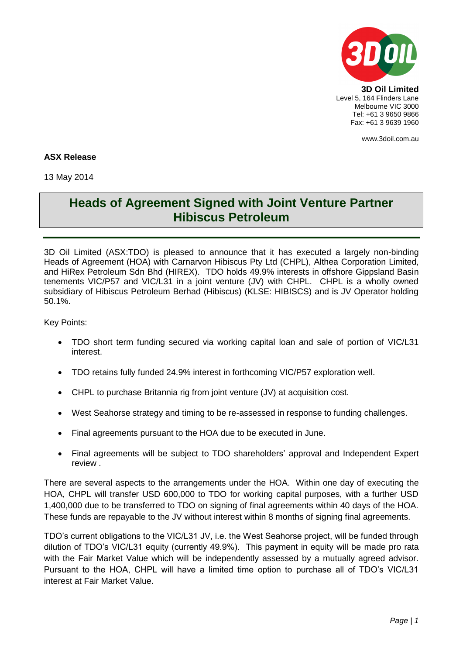

**3D Oil Limited** Level 5, 164 Flinders Lane Melbourne VIC 3000 Tel: +61 3 9650 9866 Fax: +61 3 9639 1960

www.3doil.com.au

## **ASX Release**

13 May 2014

## **Heads of Agreement Signed with Joint Venture Partner Hibiscus Petroleum**

3D Oil Limited (ASX:TDO) is pleased to announce that it has executed a largely non-binding Heads of Agreement (HOA) with Carnarvon Hibiscus Pty Ltd (CHPL), Althea Corporation Limited, and HiRex Petroleum Sdn Bhd (HIREX). TDO holds 49.9% interests in offshore Gippsland Basin tenements VIC/P57 and VIC/L31 in a joint venture (JV) with CHPL. CHPL is a wholly owned subsidiary of Hibiscus Petroleum Berhad (Hibiscus) (KLSE: HIBISCS) and is JV Operator holding 50.1%.

Key Points:

- TDO short term funding secured via working capital loan and sale of portion of VIC/L31 interest.
- TDO retains fully funded 24.9% interest in forthcoming VIC/P57 exploration well.
- CHPL to purchase Britannia rig from joint venture (JV) at acquisition cost.
- West Seahorse strategy and timing to be re-assessed in response to funding challenges.
- Final agreements pursuant to the HOA due to be executed in June.
- Final agreements will be subject to TDO shareholders' approval and Independent Expert review .

There are several aspects to the arrangements under the HOA. Within one day of executing the HOA, CHPL will transfer USD 600,000 to TDO for working capital purposes, with a further USD 1,400,000 due to be transferred to TDO on signing of final agreements within 40 days of the HOA. These funds are repayable to the JV without interest within 8 months of signing final agreements.

TDO's current obligations to the VIC/L31 JV, i.e. the West Seahorse project, will be funded through dilution of TDO's VIC/L31 equity (currently 49.9%). This payment in equity will be made pro rata with the Fair Market Value which will be independently assessed by a mutually agreed advisor. Pursuant to the HOA, CHPL will have a limited time option to purchase all of TDO's VIC/L31 interest at Fair Market Value.